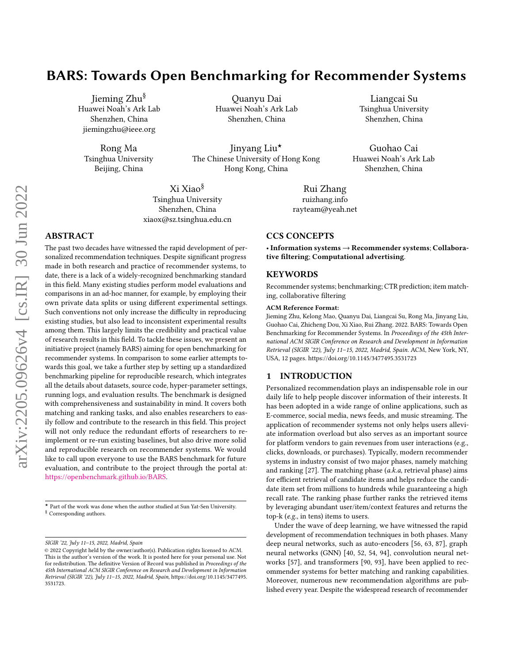# BARS: Towards Open Benchmarking for Recommender Systems

Jieming Zhu§ Huawei Noah's Ark Lab Shenzhen, China jiemingzhu@ieee.org

Rong Ma Tsinghua University Beijing, China

Quanyu Dai Huawei Noah's Ark Lab Shenzhen, China

Jinyang Liu★ The Chinese University of Hong Kong Hong Kong, China

Xi Xiao§ Tsinghua University Shenzhen, China xiaox@sz.tsinghua.edu.cn

# ABSTRACT

The past two decades have witnessed the rapid development of personalized recommendation techniques. Despite significant progress made in both research and practice of recommender systems, to date, there is a lack of a widely-recognized benchmarking standard in this field. Many existing studies perform model evaluations and comparisons in an ad-hoc manner, for example, by employing their own private data splits or using different experimental settings. Such conventions not only increase the difficulty in reproducing existing studies, but also lead to inconsistent experimental results among them. This largely limits the credibility and practical value of research results in this field. To tackle these issues, we present an initiative project (namely BARS) aiming for open benchmarking for recommender systems. In comparison to some earlier attempts towards this goal, we take a further step by setting up a standardized benchmarking pipeline for reproducible research, which integrates all the details about datasets, source code, hyper-parameter settings, running logs, and evaluation results. The benchmark is designed with comprehensiveness and sustainability in mind. It covers both matching and ranking tasks, and also enables researchers to easily follow and contribute to the research in this field. This project will not only reduce the redundant efforts of researchers to reimplement or re-run existing baselines, but also drive more solid and reproducible research on recommender systems. We would like to call upon everyone to use the BARS benchmark for future evaluation, and contribute to the project through the portal at: [https://openbenchmark.github.io/BARS.](https://openbenchmark.github.io/BARS)

Liangcai Su Tsinghua University Shenzhen, China

Guohao Cai Huawei Noah's Ark Lab Shenzhen, China

Rui Zhang <ruizhang.info> rayteam@yeah.net

### CCS CONCEPTS

• Information systems → Recommender systems; Collaborative filtering; Computational advertising.

### **KEYWORDS**

Recommender systems; benchmarking; CTR prediction; item matching, collaborative filtering

#### ACM Reference Format:

Jieming Zhu, Kelong Mao, Quanyu Dai, Liangcai Su, Rong Ma, Jinyang Liu, Guohao Cai, Zhicheng Dou, Xi Xiao, Rui Zhang. 2022. BARS: Towards Open Benchmarking for Recommender Systems. In Proceedings of the 45th International ACM SIGIR Conference on Research and Development in Information Retrieval (SIGIR '22), July 11–15, 2022, Madrid, Spain. ACM, New York, NY, USA, [12](#page-11-0) pages.<https://doi.org/10.1145/3477495.3531723>

### 1 INTRODUCTION

Personalized recommendation plays an indispensable role in our daily life to help people discover information of their interests. It has been adopted in a wide range of online applications, such as E-commerce, social media, news feeds, and music streaming. The application of recommender systems not only helps users alleviate information overload but also serves as an important source for platform vendors to gain revenues from user interactions (e.g., clicks, downloads, or purchases). Typically, modern recommender systems in industry consist of two major phases, namely matching and ranking  $[27]$ . The matching phase  $(a.k.a,$  retrieval phase) aims for efficient retrieval of candidate items and helps reduce the candidate item set from millions to hundreds while guaranteeing a high recall rate. The ranking phase further ranks the retrieved items by leveraging abundant user/item/context features and returns the top-k (e.g., in tens) items to users.

Under the wave of deep learning, we have witnessed the rapid development of recommendation techniques in both phases. Many deep neural networks, such as auto-encoders [\[56,](#page-10-0) [63,](#page-10-1) [87\]](#page-10-2), graph neural networks (GNN) [\[40,](#page-9-1) [52,](#page-9-2) [54,](#page-9-3) [94\]](#page-10-3), convolution neural networks [\[57\]](#page-10-4), and transformers [\[90,](#page-10-5) [93\]](#page-10-6), have been applied to recommender systems for better matching and ranking capabilities. Moreover, numerous new recommendation algorithms are published every year. Despite the widespread research of recommender

 $\star$  Part of the work was done when the author studied at Sun Yat-Sen University.  $§$  Corresponding authors.

SIGIR '22, July 11–15, 2022, Madrid, Spain

<sup>©</sup> 2022 Copyright held by the owner/author(s). Publication rights licensed to ACM. This is the author's version of the work. It is posted here for your personal use. Not for redistribution. The definitive Version of Record was published in Proceedings of the 45th International ACM SIGIR Conference on Research and Development in Information Retrieval (SIGIR '22), July 11–15, 2022, Madrid, Spain, [https://doi.org/10.1145/3477495.](https://doi.org/10.1145/3477495.3531723) [3531723.](https://doi.org/10.1145/3477495.3531723)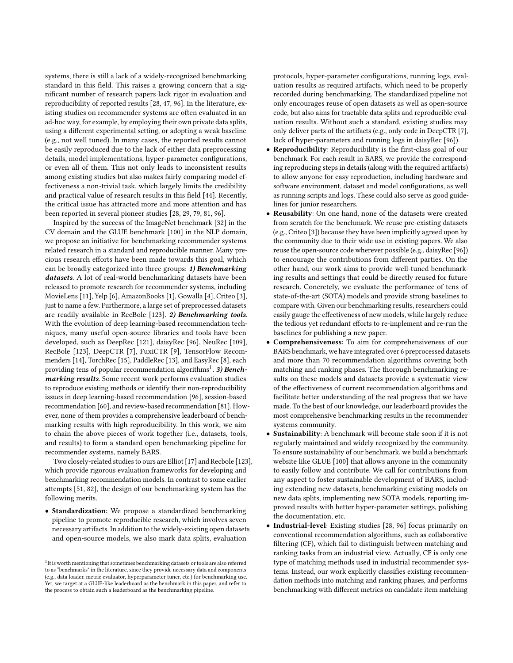systems, there is still a lack of a widely-recognized benchmarking standard in this field. This raises a growing concern that a significant number of research papers lack rigor in evaluation and reproducibility of reported results [\[28,](#page-9-4) [47,](#page-9-5) [96\]](#page-11-1). In the literature, existing studies on recommender systems are often evaluated in an ad-hoc way, for example, by employing their own private data splits, using a different experimental setting, or adopting a weak baseline (e.g., not well tuned). In many cases, the reported results cannot be easily reproduced due to the lack of either data preprocessing details, model implementations, hyper-parameter configurations, or even all of them. This not only leads to inconsistent results among existing studies but also makes fairly comparing model effectiveness a non-trivial task, which largely limits the credibility and practical value of research results in this field [\[44\]](#page-9-6). Recently, the critical issue has attracted more and more attention and has been reported in several pioneer studies [\[28,](#page-9-4) [29,](#page-9-7) [79,](#page-10-7) [81,](#page-10-8) [96\]](#page-11-1).

Inspired by the success of the ImageNet benchmark [\[32\]](#page-9-8) in the CV domain and the GLUE benchmark [\[100\]](#page-11-2) in the NLP domain, we propose an initiative for benchmarking recommender systems related research in a standard and reproducible manner. Many precious research efforts have been made towards this goal, which can be broadly categorized into three groups: 1) Benchmarking datasets. A lot of real-world benchmarking datasets have been released to promote research for recommender systems, including MovieLens [\[11\]](#page-9-9), Yelp [\[6\]](#page-9-10), AmazonBooks [\[1\]](#page-9-11), Gowalla [\[4\]](#page-9-12), Criteo [\[3\]](#page-9-13), just to name a few. Furthermore, a large set of preprocessed datasets are readily available in RecBole [\[123\]](#page-11-3). 2) Benchmarking tools. With the evolution of deep learning-based recommendation techniques, many useful open-source libraries and tools have been developed, such as DeepRec [\[121\]](#page-11-4), daisyRec [\[96\]](#page-11-1), NeuRec [\[109\]](#page-11-5), RecBole [\[123\]](#page-11-3), DeepCTR [\[7\]](#page-9-14), FuxiCTR [\[9\]](#page-9-15), TensorFlow Recommenders [\[14\]](#page-9-16), TorchRec [\[15\]](#page-9-17), PaddleRec [\[13\]](#page-9-18), and EasyRec [\[8\]](#page-9-19), each providing tens of popular recommendation algorithms $^1$  $^1$ . 3) Benchmarking results. Some recent work performs evaluation studies to reproduce existing methods or identify their non-reproducibility issues in deep learning-based recommendation [\[96\]](#page-11-1), session-based recommendation [\[60\]](#page-10-9), and review-based recommendation [\[81\]](#page-10-8). However, none of them provides a comprehensive leaderboard of benchmarking results with high reproducibility. In this work, we aim to chain the above pieces of work together (i.e., datasets, tools, and results) to form a standard open benchmarking pipeline for recommender systems, namely BARS.

Two closely-related studies to ours are Elliot [\[17\]](#page-9-20) and Recbole [\[123\]](#page-11-3), which provide rigorous evaluation frameworks for developing and benchmarking recommendation models. In contrast to some earlier attempts [\[51,](#page-9-21) [82\]](#page-10-10), the design of our benchmarking system has the following merits.

• Standardization: We propose a standardized benchmarking pipeline to promote reproducible research, which involves seven necessary artifacts. In addition to the widely-existing open datasets and open-source models, we also mark data splits, evaluation

protocols, hyper-parameter configurations, running logs, evaluation results as required artifacts, which need to be properly recorded during benchmarking. The standardized pipeline not only encourages reuse of open datasets as well as open-source code, but also aims for tractable data splits and reproducible evaluation results. Without such a standard, existing studies may only deliver parts of the artifacts (e.g., only code in DeepCTR [\[7\]](#page-9-14), lack of hyper-parameters and running logs in daisyRec [\[96\]](#page-11-1)).

- Reproducibility: Reproducibility is the first-class goal of our benchmark. For each result in BARS, we provide the corresponding reproducing steps in details (along with the required artifacts) to allow anyone for easy reproduction, including hardware and software environment, dataset and model configurations, as well as running scripts and logs. These could also serve as good guidelines for junior researchers.
- Reusability: On one hand, none of the datasets were created from scratch for the benchmark. We reuse pre-existing datasets (e.g., Criteo [\[3\]](#page-9-13)) because they have been implicitly agreed upon by the community due to their wide use in existing papers. We also reuse the open-source code wherever possible (e.g., daisyRec [\[96\]](#page-11-1)) to encourage the contributions from different parties. On the other hand, our work aims to provide well-tuned benchmarking results and settings that could be directly reused for future research. Concretely, we evaluate the performance of tens of state-of-the-art (SOTA) models and provide strong baselines to compare with. Given our benchmarking results, researchers could easily gauge the effectiveness of new models, while largely reduce the tedious yet redundant efforts to re-implement and re-run the baselines for publishing a new paper.
- Comprehensiveness: To aim for comprehensiveness of our BARS benchmark, we have integrated over 6 preprocessed datasets and more than 70 recommendation algorithms covering both matching and ranking phases. The thorough benchmarking results on these models and datasets provide a systematic view of the effectiveness of current recommendation algorithms and facilitate better understanding of the real progress that we have made. To the best of our knowledge, our leaderboard provides the most comprehensive benchmarking results in the recommender systems community.
- Sustainability: A benchmark will become stale soon if it is not regularly maintained and widely recognized by the community. To ensure sustainability of our benchmark, we build a benchmark website like GLUE [\[100\]](#page-11-2) that allows anyone in the community to easily follow and contribute. We call for contributions from any aspect to foster sustainable development of BARS, including extending new datasets, benchmarking existing models on new data splits, implementing new SOTA models, reporting improved results with better hyper-parameter settings, polishing the documentation, etc.
- Industrial-level: Existing studies [\[28,](#page-9-4) [96\]](#page-11-1) focus primarily on conventional recommendation algorithms, such as collaborative filtering (CF), which fail to distinguish between matching and ranking tasks from an industrial view. Actually, CF is only one type of matching methods used in industrial recommender systems. Instead, our work explicitly classifies existing recommendation methods into matching and ranking phases, and performs benchmarking with different metrics on candidate item matching

<span id="page-1-0"></span><sup>&</sup>lt;sup>1</sup>It is worth mentioning that sometimes benchmarking datasets or tools are also referred to as "benchmarks" in the literature, since they provide necessary data and components (e.g., data loader, metric evaluator, hyperparameter tuner, etc.) for benchmarking use. Yet, we target at a GLUE-like leaderboard as the benchmark in this paper, and refer to the process to obtain such a leaderboard as the benchmarking pipeline.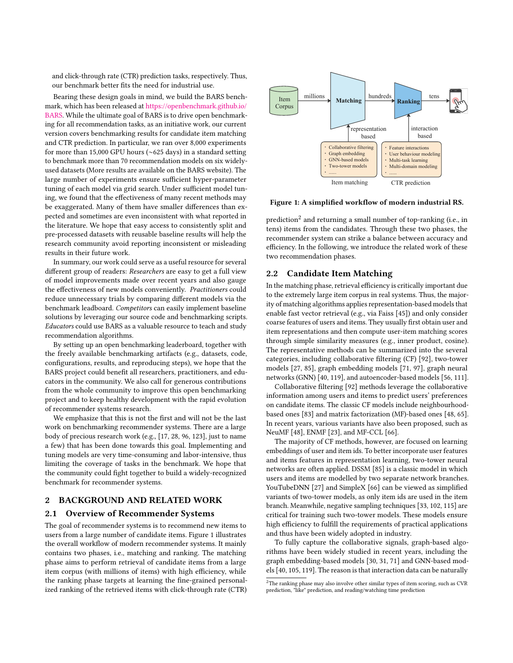and click-through rate (CTR) prediction tasks, respectively. Thus, our benchmark better fits the need for industrial use.

Bearing these design goals in mind, we build the BARS benchmark, which has been released at [https://openbenchmark.github.io/](https://openbenchmark.github.io/BARS) [BARS.](https://openbenchmark.github.io/BARS) While the ultimate goal of BARS is to drive open benchmarking for all recommendation tasks, as an initiative work, our current version covers benchmarking results for candidate item matching and CTR prediction. In particular, we ran over 8,000 experiments for more than 15,000 GPU hours (∼625 days) in a standard setting to benchmark more than 70 recommendation models on six widelyused datasets (More results are available on the BARS website). The large number of experiments ensure sufficient hyper-parameter tuning of each model via grid search. Under sufficient model tuning, we found that the effectiveness of many recent methods may be exaggerated. Many of them have smaller differences than expected and sometimes are even inconsistent with what reported in the literature. We hope that easy access to consistently split and pre-processed datasets with reusable baseline results will help the research community avoid reporting inconsistent or misleading results in their future work.

In summary, our work could serve as a useful resource for several different group of readers: Researchers are easy to get a full view of model improvements made over recent years and also gauge the effectiveness of new models conveniently. Practitioners could reduce unnecessary trials by comparing different models via the benchmark leadboard. Competitors can easily implement baseline solutions by leveraging our source code and benchmarking scripts. Educators could use BARS as a valuable resource to teach and study recommendation algorithms.

By setting up an open benchmarking leaderboard, together with the freely available benchmarking artifacts (e.g., datasets, code, configurations, results, and reproducing steps), we hope that the BARS project could benefit all researchers, practitioners, and educators in the community. We also call for generous contributions from the whole community to improve this open benchmarking project and to keep healthy development with the rapid evolution of recommender systems research.

We emphasize that this is not the first and will not be the last work on benchmarking recommender systems. There are a large body of precious research work (e.g., [\[17,](#page-9-20) [28,](#page-9-4) [96,](#page-11-1) [123\]](#page-11-3), just to name a few) that has been done towards this goal. Implementing and tuning models are very time-consuming and labor-intensive, thus limiting the coverage of tasks in the benchmark. We hope that the community could fight together to build a widely-recognized benchmark for recommender systems.

# 2 BACKGROUND AND RELATED WORK

### 2.1 Overview of Recommender Systems

The goal of recommender systems is to recommend new items to users from a large number of candidate items. Figure [1](#page-2-0) illustrates the overall workflow of modern recommender systems. It mainly contains two phases, i.e., matching and ranking. The matching phase aims to perform retrieval of candidate items from a large item corpus (with millions of items) with high efficiency, while the ranking phase targets at learning the fine-grained personalized ranking of the retrieved items with click-through rate (CTR)

<span id="page-2-0"></span>

Figure 1: A simplified workflow of modern industrial RS.

prediction $^2$  $^2$  and returning a small number of top-ranking (i.e., in tens) items from the candidates. Through these two phases, the recommender system can strike a balance between accuracy and efficiency. In the following, we introduce the related work of these two recommendation phases.

### 2.2 Candidate Item Matching

In the matching phase, retrieval efficiency is critically important due to the extremely large item corpus in real systems. Thus, the majority of matching algorithms applies representation-based models that enable fast vector retrieval (e.g., via Faiss [\[45\]](#page-9-22)) and only consider coarse features of users and items. They usually first obtain user and item representations and then compute user-item matching scores through simple similarity measures (e.g., inner product, cosine). The representative methods can be summarized into the several categories, including collaborative filtering (CF) [\[92\]](#page-10-11), two-tower models [\[27,](#page-9-0) [85\]](#page-10-12), graph embedding models [\[71,](#page-10-13) [97\]](#page-11-6), graph neural networks (GNN) [\[40,](#page-9-1) [119\]](#page-11-7), and autoencoder-based models [\[56,](#page-10-0) [111\]](#page-11-8).

Collaborative filtering [\[92\]](#page-10-11) methods leverage the collaborative information among users and items to predict users' preferences on candidate items. The classic CF models include neighbourhoodbased ones [\[83\]](#page-10-14) and matrix factorization (MF)-based ones [\[48,](#page-9-23) [65\]](#page-10-15). In recent years, various variants have also been proposed, such as NeuMF [\[48\]](#page-9-23), ENMF [\[23\]](#page-9-24), and MF-CCL [\[66\]](#page-10-16).

The majority of CF methods, however, are focused on learning embeddings of user and item ids. To better incorporate user features and items features in representation learning, two-tower neural networks are often applied. DSSM [\[85\]](#page-10-12) is a classic model in which users and items are modelled by two separate network branches. YouTubeDNN [\[27\]](#page-9-0) and SimpleX [\[66\]](#page-10-16) can be viewed as simplified variants of two-tower models, as only item ids are used in the item branch. Meanwhile, negative sampling techniques [\[33,](#page-9-25) [102,](#page-11-9) [115\]](#page-11-10) are critical for training such two-tower models. These models ensure high efficiency to fulfill the requirements of practical applications and thus have been widely adopted in industry.

To fully capture the collaborative signals, graph-based algorithms have been widely studied in recent years, including the graph embedding-based models [\[30,](#page-9-26) [31,](#page-9-27) [71\]](#page-10-13) and GNN-based models [\[40,](#page-9-1) [105,](#page-11-11) [119\]](#page-11-7). The reason is that interaction data can be naturally

<span id="page-2-1"></span><sup>2</sup>The ranking phase may also involve other similar types of item scoring, such as CVR prediction, "like" prediction, and reading/watching time prediction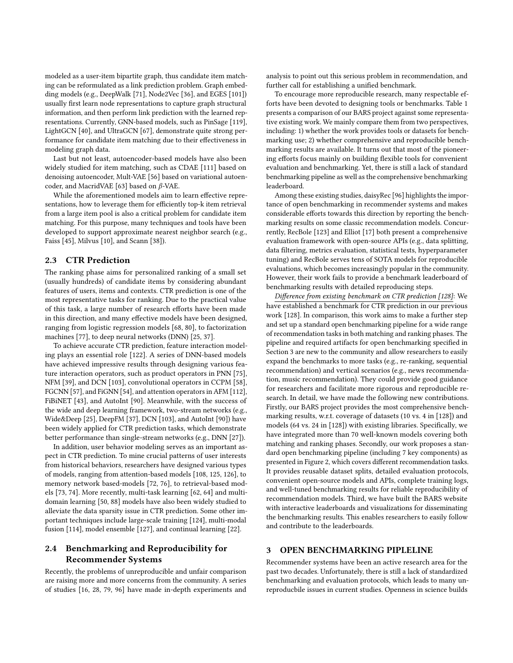modeled as a user-item bipartite graph, thus candidate item matching can be reformulated as a link prediction problem. Graph embedding models (e.g., DeepWalk [\[71\]](#page-10-13), Node2Vec [\[36\]](#page-9-28), and EGES [\[101\]](#page-11-12)) usually first learn node representations to capture graph structural information, and then perform link prediction with the learned representations. Currently, GNN-based models, such as PinSage [\[119\]](#page-11-7), LightGCN [\[40\]](#page-9-1), and UltraGCN [\[67\]](#page-10-17), demonstrate quite strong performance for candidate item matching due to their effectiveness in modeling graph data.

Last but not least, autoencoder-based models have also been widely studied for item matching, such as CDAE [\[111\]](#page-11-8) based on denoising autoencoder, Mult-VAE [\[56\]](#page-10-0) based on variational autoen-coder, and MacridVAE [\[63\]](#page-10-1) based on  $\beta$ -VAE.

While the aforementioned models aim to learn effective representations, how to leverage them for efficiently top-k item retrieval from a large item pool is also a critical problem for candidate item matching. For this purpose, many techniques and tools have been developed to support approximate nearest neighbor search (e.g., Faiss [\[45\]](#page-9-22), Milvus [\[10\]](#page-9-29), and Scann [\[38\]](#page-9-30)).

### 2.3 CTR Prediction

The ranking phase aims for personalized ranking of a small set (usually hundreds) of candidate items by considering abundant features of users, items and contexts. CTR prediction is one of the most representative tasks for ranking. Due to the practical value of this task, a large number of research efforts have been made in this direction, and many effective models have been designed, ranging from logistic regression models [\[68,](#page-10-18) [80\]](#page-10-19), to factorization machines [\[77\]](#page-10-20), to deep neural networks (DNN) [\[25,](#page-9-31) [37\]](#page-9-32).

To achieve accurate CTR prediction, feature interaction modeling plays an essential role [\[122\]](#page-11-13). A series of DNN-based models have achieved impressive results through designing various feature interaction operators, such as product operators in PNN [\[75\]](#page-10-21), NFM [\[39\]](#page-9-33), and DCN [\[103\]](#page-11-14), convolutional operators in CCPM [\[58\]](#page-10-22), FGCNN [\[57\]](#page-10-4), and FiGNN [\[54\]](#page-9-3), and attention operators in AFM [\[112\]](#page-11-15), FiBiNET [\[43\]](#page-9-34), and AutoInt [\[90\]](#page-10-5). Meanwhile, with the success of the wide and deep learning framework, two-stream networks (e.g., Wide&Deep [\[25\]](#page-9-31), DeepFM [\[37\]](#page-9-32), DCN [\[103\]](#page-11-14), and AutoInt [\[90\]](#page-10-5)) have been widely applied for CTR prediction tasks, which demonstrate better performance than single-stream networks (e.g., DNN [\[27\]](#page-9-0)).

In addition, user behavior modeling serves as an important aspect in CTR prediction. To mine crucial patterns of user interests from historical behaviors, researchers have designed various types of models, ranging from attention-based models [\[108,](#page-11-16) [125,](#page-11-17) [126\]](#page-11-18), to memory network based-models [\[72,](#page-10-23) [76\]](#page-10-24), to retrieval-based models [\[73,](#page-10-25) [74\]](#page-10-26). More recently, multi-task learning [\[62,](#page-10-27) [64\]](#page-10-28) and multidomain learning [\[50,](#page-9-35) [88\]](#page-10-29) models have also been widely studied to alleviate the data sparsity issue in CTR prediction. Some other important techniques include large-scale training [\[124\]](#page-11-19), multi-modal fusion [\[114\]](#page-11-20), model ensemble [\[127\]](#page-11-21), and continual learning [\[22\]](#page-9-36).

# 2.4 Benchmarking and Reproducibility for Recommender Systems

Recently, the problems of unreproducible and unfair comparison are raising more and more concerns from the community. A series of studies [\[16,](#page-9-37) [28,](#page-9-4) [79,](#page-10-7) [96\]](#page-11-1) have made in-depth experiments and analysis to point out this serious problem in recommendation, and further call for establishing a unified benchmark.

To encourage more reproducible research, many respectable efforts have been devoted to designing tools or benchmarks. Table [1](#page-4-0) presents a comparison of our BARS project against some representative existing work. We mainly compare them from two perspectives, including: 1) whether the work provides tools or datasets for benchmarking use; 2) whether comprehensive and reproducible benchmarking results are available. It turns out that most of the pioneering efforts focus mainly on building flexible tools for convenient evaluation and benchmarking. Yet, there is still a lack of standard benchmarking pipeline as well as the comprehensive benchmarking leaderboard.

Among these existing studies, daisyRec [\[96\]](#page-11-1) highlights the importance of open benchmarking in recommender systems and makes considerable efforts towards this direction by reporting the benchmarking results on some classic recommendation models. Concurrently, RecBole [\[123\]](#page-11-3) and Elliot [\[17\]](#page-9-20) both present a comprehensive evaluation framework with open-source APIs (e.g., data splitting, data filtering, metrics evaluation, statistical tests, hyperparameter tuning) and RecBole serves tens of SOTA models for reproducible evaluations, which becomes increasingly popular in the community. However, their work fails to provide a benchmark leaderboard of benchmarking results with detailed reproducing steps.

Difference from existing benchmark on CTR prediction [\[128\]](#page-11-22): We have established a benchmark for CTR prediction in our previous work [\[128\]](#page-11-22). In comparison, this work aims to make a further step and set up a standard open benchmarking pipeline for a wide range of recommendation tasks in both matching and ranking phases. The pipeline and required artifacts for open benchmarking specified in Section [3](#page-3-0) are new to the community and allow researchers to easily expand the benchmarks to more tasks (e.g., re-ranking, sequential recommendation) and vertical scenarios (e.g., news recommendation, music recommendation). They could provide good guidance for researchers and facilitate more rigorous and reproducible research. In detail, we have made the following new contributions. Firstly, our BARS project provides the most comprehensive benchmarking results, w.r.t. coverage of datasets (10 vs. 4 in [\[128\]](#page-11-22)) and models (64 vs. 24 in [\[128\]](#page-11-22)) with existing libraries. Specifically, we have integrated more than 70 well-known models covering both matching and ranking phases. Secondly, our work proposes a standard open benchmarking pipeline (including 7 key components) as presented in Figure [2,](#page-4-1) which covers different recommendation tasks. It provides reusable dataset splits, detailed evaluation protocols, convenient open-source models and APIs, complete training logs, and well-tuned benchmarking results for reliable reproducibility of recommendation models. Third, we have built the BARS website with interactive leaderboards and visualizations for disseminating the benchmarking results. This enables researchers to easily follow and contribute to the leaderboards.

### <span id="page-3-0"></span>3 OPEN BENCHMARKING PIPLELINE

Recommender systems have been an active research area for the past two decades. Unfortunately, there is still a lack of standardized benchmarking and evaluation protocols, which leads to many unreproducbile issues in current studies. Openness in science builds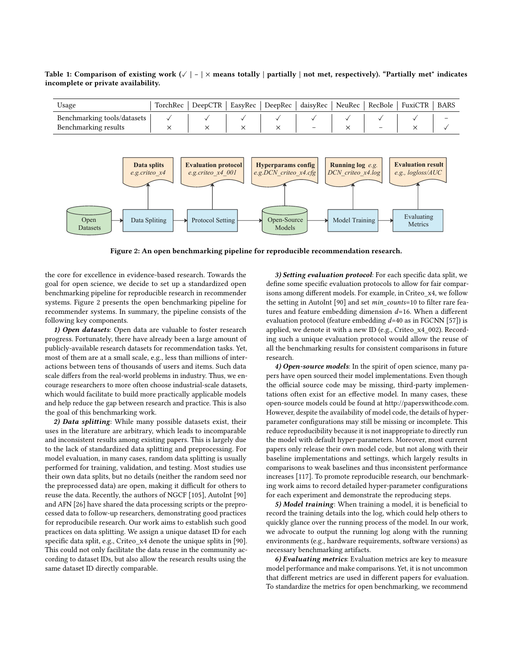| $\cup$ sage                 | TorchRec 1 | DeepCTR | EasyRec DeepRec daisyRec |  | NeuRec RecBole | $\mid$ FuxiCTR $\mid$ | BARS |
|-----------------------------|------------|---------|--------------------------|--|----------------|-----------------------|------|
| Benchmarking tools/datasets |            |         |                          |  |                |                       |      |
| Benchmarking results        |            |         |                          |  | -              |                       |      |

<span id="page-4-0"></span>Table 1: Comparison of existing work ( $\vee$  | - |  $\times$  means totally | partially | not met, respectively). "Partially met" indicates incomplete or private availability. based telly Lae  $\mathbf{u}$ y |

<span id="page-4-1"></span>

Figure 2: An open benchmarking pipeline for reproducible recommendation research.

the core for excellence in evidence-based research. Towards the goal for open science, we decide to set up a standardized open benchmarking pipeline for reproducible research in recommender systems. Figure [2](#page-4-1) presents the open benchmarking pipeline for recommender systems. In summary, the pipeline consists of the following key components.

1) Open datasets: Open data are valuable to foster research progress. Fortunately, there have already been a large amount of publicly-available research datasets for recommendation tasks. Yet, most of them are at a small scale, e.g., less than millions of interactions between tens of thousands of users and items. Such data scale differs from the real-world problems in industry. Thus, we encourage researchers to more often choose industrial-scale datasets, which would facilitate to build more practically applicable models and help reduce the gap between research and practice. This is also the goal of this benchmarking work.

2) Data splitting: While many possible datasets exist, their uses in the literature are arbitrary, which leads to incomparable and inconsistent results among existing papers. This is largely due to the lack of standardized data splitting and preprocessing. For model evaluation, in many cases, random data splitting is usually performed for training, validation, and testing. Most studies use their own data splits, but no details (neither the random seed nor the preprocessed data) are open, making it difficult for others to reuse the data. Recently, the authors of NGCF [\[105\]](#page-11-11), AutoInt [\[90\]](#page-10-5) and AFN [\[26\]](#page-9-38) have shared the data processing scripts or the preprocessed data to follow-up researchers, demonstrating good practices for reproducibile research. Our work aims to establish such good practices on data splitting. We assign a unique dataset ID for each specific data split, e.g., Criteo\_x4 denote the unique splits in [\[90\]](#page-10-5). This could not only facilitate the data reuse in the community according to dataset IDs, but also allow the research results using the same dataset ID directly comparable.

3) Setting evaluation protocol: For each specific data split, we define some specific evaluation protocols to allow for fair comparisons among different models. For example, in Criteo\_x4, we follow the setting in AutoInt [\[90\]](#page-10-5) and set min\_counts=10 to filter rare features and feature embedding dimension  $d=16$ . When a different evaluation protocol (feature embedding  $d=40$  as in FGCNN [\[57\]](#page-10-4)) is applied, we denote it with a new ID (e.g., Criteo\_x4\_002). Recording such a unique evaluation protocol would allow the reuse of all the benchmarking results for consistent comparisons in future research.

4) Open-source models: In the spirit of open science, many papers have open sourced their model implementations. Even though the official source code may be missing, third-party implementations often exist for an effective model. In many cases, these open-source models could be found at [http://paperswithcode.com.](http://paperswithcode.com) However, despite the availability of model code, the details of hyperparameter configurations may still be missing or incomplete. This reduce reproducibility because it is not inappropriate to directly run the model with default hyper-parameters. Moreover, most current papers only release their own model code, but not along with their baseline implementations and settings, which largely results in comparisons to weak baselines and thus inconsistent performance increases [\[117\]](#page-11-23). To promote reproducible research, our benchmarking work aims to record detailed hyper-parameter configurations for each experiment and demonstrate the reproducing steps.

5) Model training: When training a model, it is beneficial to record the training details into the log, which could help others to quickly glance over the running process of the model. In our work, we advocate to output the running log along with the running environments (e.g., hardware requirements, software versions) as necessary benchmarking artifacts.

6) Evaluating metrics: Evaluation metrics are key to measure model performance and make comparisons. Yet, it is not uncommon that different metrics are used in different papers for evaluation. To standardize the metrics for open benchmarking, we recommend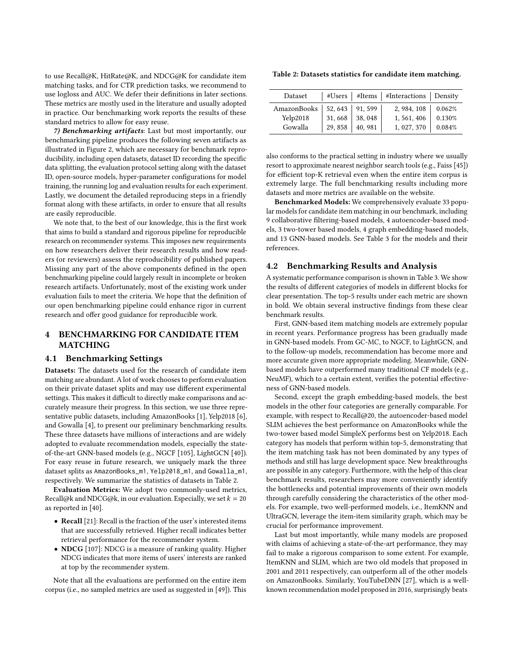to use Recall@K, HitRate@K, and NDCG@K for candidate item matching tasks, and for CTR prediction tasks, we recommend to use logloss and AUC. We defer their definitions in later sections. These metrics are mostly used in the literature and usually adopted in practice. Our benchmarking work reports the results of these standard metrics to allow for easy reuse.

7) Benchmarking artifacts: Last but most importantly, our benchmarking pipeline produces the following seven artifacts as illustrated in Figure [2,](#page-4-1) which are necessary for benchmark reproducibility, including open datasets, dataset ID recording the specific data splitting, the evaluation protocol setting along with the dataset ID, open-source models, hyper-parameter configurations for model training, the running log and evaluation results for each experiment. Lastly, we document the detailed reproducing steps in a friendly format along with these artifacts, in order to ensure that all results are easily reproducible.

We note that, to the best of our knowledge, this is the first work that aims to build a standard and rigorous pipeline for reproducible research on recommender systems. This imposes new requirements on how researchers deliver their research results and how readers (or reviewers) assess the reproducibility of published papers. Missing any part of the above components defined in the open benchmarking pipeline could largely result in incomplete or broken research artifacts. Unfortunately, most of the existing work under evaluation fails to meet the criteria. We hope that the definition of our open benchmarking pipeline could enhance rigor in current research and offer good guidance for reproducible work.

# 4 BENCHMARKING FOR CANDIDATE ITEM MATCHING

### 4.1 Benchmarking Settings

Datasets: The datasets used for the research of candidate item matching are abundant. A lot of work chooses to perform evaluation on their private dataset splits and may use different experimental settings. This makes it difficult to directly make comparisons and accurately measure their progress. In this section, we use three representative public datasets, including AmazonBooks [\[1\]](#page-9-11), Yelp2018 [\[6\]](#page-9-10), and Gowalla [\[4\]](#page-9-12), to present our preliminary benchmarking results. These three datasets have millions of interactions and are widely adopted to evaluate recommendation models, especially the stateof-the-art GNN-based models (e.g., NGCF [\[105\]](#page-11-11), LightGCN [\[40\]](#page-9-1)). For easy reuse in future research, we uniquely mark the three dataset splits as AmazonBooks\_m1, Yelp2018\_m1, and Gowalla\_m1, respectively. We summarize the statistics of datasets in Table [2.](#page-5-0)

Evaluation Metrics: We adopt two commonly-used metrics, Recall@k and NDCG@k, in our evaluation. Especially, we set  $k = 20$ as reported in [\[40\]](#page-9-1).

- Recall [\[21\]](#page-9-39): Recall is the fraction of the user's interested items that are successfully retrieved. Higher recall indicates better retrieval performance for the recommender system.
- NDCG [\[107\]](#page-11-24): NDCG is a measure of ranking quality. Higher NDCG indicates that more items of users' interests are ranked at top by the recommender system.

Note that all the evaluations are performed on the entire item corpus (i.e., no sampled metrics are used as suggested in [\[49\]](#page-9-40)). This

<span id="page-5-0"></span>Table 2: Datasets statistics for candidate item matching.

| Dataset     |         |         | #Users   #Items   #Interactions   Density |        |
|-------------|---------|---------|-------------------------------------------|--------|
| AmazonBooks | 52, 643 | 91.599  | 2, 984, 108                               | 0.062% |
| Yelp2018    | 31,668  | 38, 048 | 1, 561, 406                               | 0.130% |
| Gowalla     | 29,858  | 40, 981 | 1, 027, 370                               | 0.084% |

also conforms to the practical setting in industry where we usually resort to approximate nearest neighbor search tools (e.g., Faiss [\[45\]](#page-9-22)) for efficient top-K retrieval even when the entire item corpus is extremely large. The full benchmarking results including more datasets and more metrics are available on the website.

Benchmarked Models: We comprehensively evaluate 33 popular models for candidate item matching in our benchmark, including 9 collaborative filtering-based models, 4 autoencoder-based models, 3 two-tower based models, 4 graph embedding-based models, and 13 GNN-based models. See Table [3](#page-6-0) for the models and their references.

### 4.2 Benchmarking Results and Analysis

A systematic performance comparison is shown in Table [3.](#page-6-0) We show the results of different categories of models in different blocks for clear presentation. The top-5 results under each metric are shown in bold. We obtain several instructive findings from these clear benchmark results.

First, GNN-based item matching models are extremely popular in recent years. Performance progress has been gradually made in GNN-based models. From GC-MC, to NGCF, to LightGCN, and to the follow-up models, recommendation has become more and more accurate given more appropriate modeling. Meanwhile, GNNbased models have outperformed many traditional CF models (e.g., NeuMF), which to a certain extent, verifies the potential effectiveness of GNN-based models.

Second, except the graph embedding-based models, the best models in the other four categories are generally comparable. For example, with respect to Recall@20, the autoencoder-based model SLIM achieves the best performance on AmazonBooks while the two-tower based model SimpleX performs best on Yelp2018. Each category has models that perform within top-5, demonstrating that the item matching task has not been dominated by any types of methods and still has large development space. New breakthroughs are possible in any category. Furthermore, with the help of this clear benchmark results, researchers may more conveniently identify the bottlenecks and potential improvements of their own models through carefully considering the characteristics of the other models. For example, two well-performed models, i.e., ItemKNN and UltraGCN, leverage the item-item similarity graph, which may be crucial for performance improvement.

Last but most importantly, while many models are proposed with claims of achieving a state-of-the-art performance, they may fail to make a rigorous comparison to some extent. For example, ItemKNN and SLIM, which are two old models that proposed in 2001 and 2011 respectively, can outperform all of the other models on AmazonBooks. Similarly, YouTubeDNN [\[27\]](#page-9-0), which is a wellknown recommendation model proposed in 2016, surprisingly beats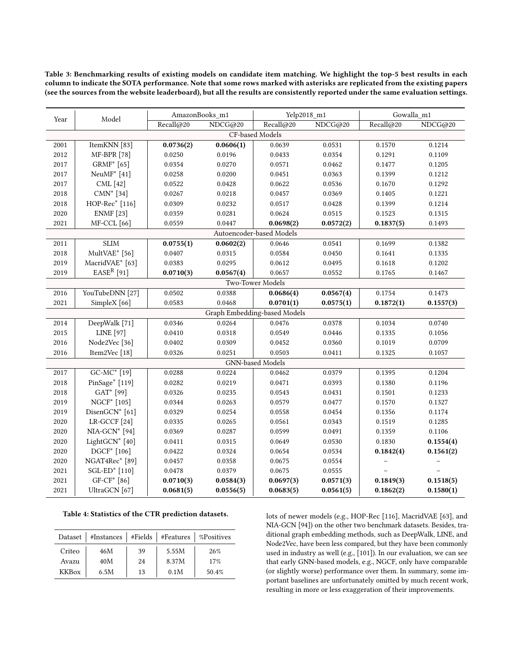<span id="page-6-0"></span>Table 3: Benchmarking results of existing models on candidate item matching. We highlight the top-5 best results in each column to indicate the SOTA performance. Note that some rows marked with asterisks are replicated from the existing papers (see the sources from the website leaderboard), but all the results are consistently reported under the same evaluation settings.

| Year            |                             | AmazonBooks_m1<br>Model |           | Yelp2018_m1                  |           | Gowalla_m1 |           |
|-----------------|-----------------------------|-------------------------|-----------|------------------------------|-----------|------------|-----------|
|                 |                             | Recall@20               | NDCG@20   | Recall@20                    | NDCG@20   | Recall@20  | NDCG@20   |
| CF-based Models |                             |                         |           |                              |           |            |           |
| 2001            | ItemKNN [83]                | 0.0736(2)               | 0.0606(1) | 0.0639                       | 0.0531    | 0.1570     | 0.1214    |
| 2012            | <b>MF-BPR</b> [78]          | 0.0250                  | 0.0196    | 0.0433                       | 0.0354    | 0.1291     | 0.1109    |
| 2017            | GRMF* [65]                  | 0.0354                  | 0.0270    | 0.0571                       | 0.0462    | 0.1477     | 0.1205    |
| 2017            | NeuM $F^*$ [41]             | 0.0258                  | 0.0200    | 0.0451                       | 0.0363    | 0.1399     | 0.1212    |
| 2017            | CML [42]                    | 0.0522                  | 0.0428    | 0.0622                       | 0.0536    | 0.1670     | 0.1292    |
| 2018            | $CMN^*$ [34]                | 0.0267                  | 0.0218    | 0.0457                       | 0.0369    | 0.1405     | 0.1221    |
| 2018            | HOP-Rec <sup>*</sup> [116]  | 0.0309                  | 0.0232    | 0.0517                       | 0.0428    | 0.1399     | 0.1214    |
| 2020            | <b>ENMF</b> [23]            | 0.0359                  | 0.0281    | 0.0624                       | 0.0515    | 0.1523     | 0.1315    |
| 2021            | <b>MF-CCL</b> [66]          | 0.0559                  | 0.0447    | 0.0698(2)                    | 0.0572(2) | 0.1837(5)  | 0.1493    |
|                 |                             |                         |           | Autoencoder-based Models     |           |            |           |
| 2011            | <b>SLIM</b>                 | 0.0755(1)               | 0.0602(2) | 0.0646                       | 0.0541    | 0.1699     | 0.1382    |
| 2018            | MultVAE* [56]               | 0.0407                  | 0.0315    | 0.0584                       | 0.0450    | 0.1641     | 0.1335    |
| 2019            | MacridVAE <sup>*</sup> [63] | 0.0383                  | 0.0295    | 0.0612                       | 0.0495    | 0.1618     | 0.1202    |
| 2019            | $EASER$ [91]                | 0.0710(3)               | 0.0567(4) | 0.0657                       | 0.0552    | 0.1765     | 0.1467    |
|                 |                             |                         |           | Two-Tower Models             |           |            |           |
| 2016            | YouTubeDNN [27]             | 0.0502                  | 0.0388    | 0.0686(4)                    | 0.0567(4) | 0.1754     | 0.1473    |
| 2021            | SimpleX <sup>[66]</sup>     | 0.0583                  | 0.0468    | 0.0701(1)                    | 0.0575(1) | 0.1872(1)  | 0.1557(3) |
|                 |                             |                         |           | Graph Embedding-based Models |           |            |           |
| 2014            | DeepWalk [71]               | 0.0346                  | 0.0264    | 0.0476                       | 0.0378    | 0.1034     | 0.0740    |
| 2015            | LINE [97]                   | 0.0410                  | 0.0318    | 0.0549                       | 0.0446    | 0.1335     | 0.1056    |
| 2016            | Node2Vec <sup>[36]</sup>    | 0.0402                  | 0.0309    | 0.0452                       | 0.0360    | 0.1019     | 0.0709    |
| 2016            | Item2Vec [18]               | 0.0326                  | 0.0251    | 0.0503                       | 0.0411    | 0.1325     | 0.1057    |
|                 |                             |                         |           | GNN-based Models             |           |            |           |
| 2017            | GC-MC* [19]                 | 0.0288                  | 0.0224    | 0.0462                       | 0.0379    | 0.1395     | 0.1204    |
| 2018            | PinSage* [119]              | 0.0282                  | 0.0219    | 0.0471                       | 0.0393    | 0.1380     | 0.1196    |
| 2018            | GAT <sup>*</sup> [99]       | 0.0326                  | 0.0235    | 0.0543                       | 0.0431    | 0.1501     | 0.1233    |
| 2019            | NGCF <sup>*</sup> [105]     | 0.0344                  | 0.0263    | 0.0579                       | 0.0477    | 0.1570     | 0.1327    |
| 2019            | DisenGCN* [61]              | 0.0329                  | 0.0254    | 0.0558                       | 0.0454    | 0.1356     | 0.1174    |
| 2020            | LR-GCCF <sup>[24]</sup>     | 0.0335                  | 0.0265    | 0.0561                       | 0.0343    | 0.1519     | 0.1285    |
| 2020            | $NIA-GCN^*$ [94]            | 0.0369                  | 0.0287    | 0.0599                       | 0.0491    | 0.1359     | 0.1106    |
| 2020            | LightGCN <sup>*</sup> [40]  | 0.0411                  | 0.0315    | 0.0649                       | 0.0530    | 0.1830     | 0.1554(4) |
| 2020            | DGCF* [106]                 | 0.0422                  | 0.0324    | 0.0654                       | 0.0534    | 0.1842(4)  | 0.1561(2) |
| 2020            | NGAT4Rec* [89]              | 0.0457                  | 0.0358    | 0.0675                       | 0.0554    |            |           |
| 2021            | SGL-ED* [110]               | 0.0478                  | 0.0379    | 0.0675                       | 0.0555    |            |           |
| 2021            | GF-CF* [86]                 | 0.0710(3)               | 0.0584(3) | 0.0697(3)                    | 0.0571(3) | 0.1849(3)  | 0.1518(5) |
| 2021            | UltraGCN [67]               | 0.0681(5)               | 0.0556(5) | 0.0683(5)                    | 0.0561(5) | 0.1862(2)  | 0.1580(1) |

<span id="page-6-1"></span>Table 4: Statistics of the CTR prediction datasets.

|              | Dataset   #Instances   #Fields   #Features   %Positives |    |       |       |
|--------------|---------------------------------------------------------|----|-------|-------|
| Criteo       | 46M                                                     | 39 | 5.55M | 26%   |
| Avazu        | 40M                                                     | 24 | 8.37M | 17%   |
| <b>KKBox</b> | 6.5M                                                    | 13 | 0.1M  | 50.4% |

lots of newer models (e.g., HOP-Rec [\[116\]](#page-11-25), MacridVAE [\[63\]](#page-10-1), and NIA-GCN [\[94\]](#page-10-3)) on the other two benchmark datasets. Besides, traditional graph embedding methods, such as DeepWalk, LINE, and Node2Vec, have been less compared, but they have been commonly used in industry as well (e.g., [\[101\]](#page-11-12)). In our evaluation, we can see that early GNN-based models, e.g., NGCF, only have comparable (or slightly worse) performance over them. In summary, some important baselines are unfortunately omitted by much recent work, resulting in more or less exaggeration of their improvements.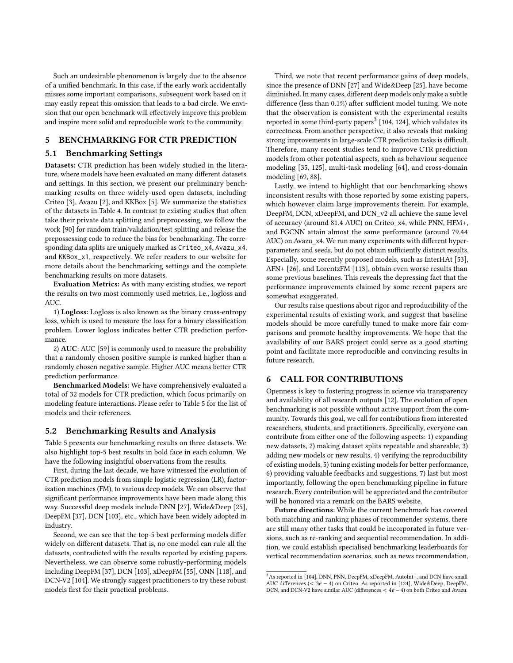Such an undesirable phenomenon is largely due to the absence of a unified benchmark. In this case, if the early work accidentally misses some important comparisons, subsequent work based on it may easily repeat this omission that leads to a bad circle. We envision that our open benchmark will effectively improve this problem and inspire more solid and reproducible work to the community.

# 5 BENCHMARKING FOR CTR PREDICTION

### 5.1 Benchmarking Settings

Datasets: CTR prediction has been widely studied in the literature, where models have been evaluated on many different datasets and settings. In this section, we present our preliminary benchmarking results on three widely-used open datasets, including Criteo [\[3\]](#page-9-13), Avazu [\[2\]](#page-9-47), and KKBox [\[5\]](#page-9-48). We summarize the statistics of the datasets in Table [4.](#page-6-1) In contrast to existing studies that often take their private data splitting and preprocessing, we follow the work [\[90\]](#page-10-5) for random train/validation/test splitting and release the prepossessing code to reduce the bias for benchmarking. The corresponding data splits are uniquely marked as Criteo\_x4, Avazu\_x4, and KKBox\_x1, respectively. We refer readers to our website for more details about the benchmarking settings and the complete benchmarking results on more datasets.

Evaluation Metrics: As with many existing studies, we report the results on two most commonly used metrics, i.e., logloss and AUC.

1) Logloss: Logloss is also known as the binary cross-entropy loss, which is used to measure the loss for a binary classification problem. Lower logloss indicates better CTR prediction performance.

2) AUC: AUC [\[59\]](#page-10-35) is commonly used to measure the probability that a randomly chosen positive sample is ranked higher than a randomly chosen negative sample. Higher AUC means better CTR prediction performance.

Benchmarked Models: We have comprehensively evaluated a total of 32 models for CTR prediction, which focus primarily on modeling feature interactions. Please refer to Table [5](#page-8-0) for the list of models and their references.

### 5.2 Benchmarking Results and Analysis

Table [5](#page-8-0) presents our benchmarking results on three datasets. We also highlight top-5 best results in bold face in each column. We have the following insightful observations from the results.

First, during the last decade, we have witnessed the evolution of CTR prediction models from simple logistic regression (LR), factorization machines (FM), to various deep models. We can observe that significant performance improvements have been made along this way. Successful deep models include DNN [\[27\]](#page-9-0), Wide&Deep [\[25\]](#page-9-31), DeepFM [\[37\]](#page-9-32), DCN [\[103\]](#page-11-14), etc., which have been widely adopted in industry.

Second, we can see that the top-5 best performing models differ widely on different datasets. That is, no one model can rule all the datasets, contradicted with the results reported by existing papers. Nevertheless, we can observe some robustly-performing models including DeepFM [\[37\]](#page-9-32), DCN [\[103\]](#page-11-14), xDeepFM [\[55\]](#page-10-36), ONN [\[118\]](#page-11-29), and DCN-V2 [\[104\]](#page-11-30). We strongly suggest practitioners to try these robust models first for their practical problems.

Third, we note that recent performance gains of deep models, since the presence of DNN [\[27\]](#page-9-0) and Wide&Deep [\[25\]](#page-9-31), have become diminished. In many cases, different deep models only make a subtle difference (less than 0.1%) after sufficient model tuning. We note that the observation is consistent with the experimental results reported in some third-party papers $^3$  $^3$  [\[104,](#page-11-30) [124\]](#page-11-19), which validates its correctness. From another perspective, it also reveals that making strong improvements in large-scale CTR prediction tasks is difficult. Therefore, many recent studies tend to improve CTR prediction models from other potential aspects, such as behaviour sequence modeling [\[35,](#page-9-49) [125\]](#page-11-17), multi-task modeling [\[64\]](#page-10-28), and cross-domain modeling [\[69,](#page-10-37) [88\]](#page-10-29).

Lastly, we intend to highlight that our benchmarking shows inconsistent results with those reported by some existing papers, which however claim large improvements therein. For example, DeepFM, DCN, xDeepFM, and DCN\_v2 all achieve the same level of accuracy (around 81.4 AUC) on Criteo\_x4, while PNN, HFM+, and FGCNN attain almost the same performance (around 79.44 AUC) on Avazu x4. We run many experiments with different hyperparameters and seeds, but do not obtain sufficiently distinct results. Especially, some recently proposed models, such as InterHAt [\[53\]](#page-9-50), AFN+ [\[26\]](#page-9-38), and LorentzFM [\[113\]](#page-11-31), obtain even worse results than some previous baselines. This reveals the depressing fact that the performance improvements claimed by some recent papers are somewhat exaggerated.

Our results raise questions about rigor and reproducibility of the experimental results of existing work, and suggest that baseline models should be more carefully tuned to make more fair comparisons and promote healthy improvements. We hope that the availability of our BARS project could serve as a good starting point and facilitate more reproducible and convincing results in future research.

# 6 CALL FOR CONTRIBUTIONS

Openness is key to fostering progress in science via transparency and availability of all research outputs [\[12\]](#page-9-51). The evolution of open benchmarking is not possible without active support from the community. Towards this goal, we call for contributions from interested researchers, students, and practitioners. Specifically, everyone can contribute from either one of the following aspects: 1) expanding new datasets, 2) making dataset splits repeatable and shareable, 3) adding new models or new results, 4) verifying the reproducibility of existing models, 5) tuning existing models for better performance, 6) providing valuable feedbacks and suggestions, 7) last but most importantly, following the open benchmarking pipeline in future research. Every contribution will be appreciated and the contributor will be honored via a remark on the BARS website.

Future directions: While the current benchmark has covered both matching and ranking phases of recommender systems, there are still many other tasks that could be incorporated in future versions, such as re-ranking and sequential recommendation. In addition, we could establish specialised benchmarking leaderboards for vertical recommendation scenarios, such as news recommendation,

<span id="page-7-0"></span> $^3\mathrm{As}$  reported in [\[104\]](#page-11-30), DNN, PNN, DeepFM, xDeepFM, AutoInt+, and DCN have small AUC differences (< 3 − 4) on Criteo. As reported in [\[124\]](#page-11-19), Wide&Deep, DeepFM, DCN, and DCN-V2 have similar AUC (differences  $< 4e - 4$ ) on both Criteo and Avazu.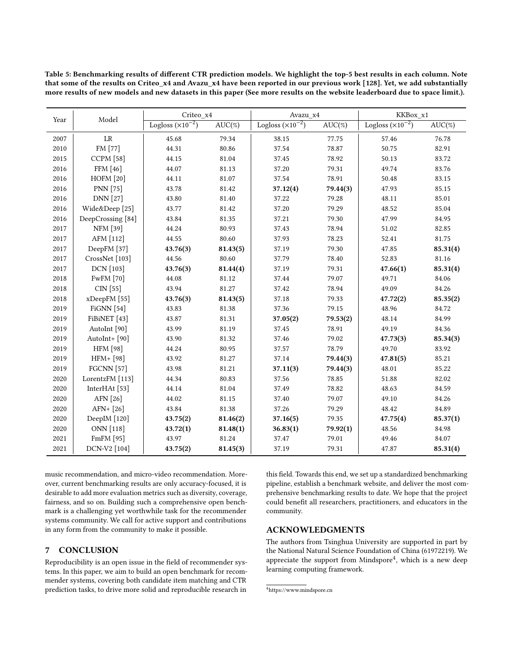<span id="page-8-0"></span>Table 5: Benchmarking results of different CTR prediction models. We highlight the top-5 best results in each column. Note that some of the results on Criteo\_x4 and Avazu\_x4 have been reported in our previous work [\[128\]](#page-11-22). Yet, we add substantially more results of new models and new datasets in this paper (See more results on the website leaderboard due to space limit.).

| Year | Model                    | Criteo_x4                  |           | Avazu x4                   |           | KKBox_x1                   |           |
|------|--------------------------|----------------------------|-----------|----------------------------|-----------|----------------------------|-----------|
|      |                          | Logloss $(\times 10^{-2})$ | $AUC(\%)$ | Logloss $(\times 10^{-2})$ | $AUC(\%)$ | Logloss $(\times 10^{-2})$ | $AUC(\%)$ |
| 2007 | LR                       | 45.68                      | 79.34     | 38.15                      | 77.75     | 57.46                      | 76.78     |
| 2010 | FM [77]                  | 44.31                      | 80.86     | 37.54                      | 78.87     | 50.75                      | 82.91     |
| 2015 | <b>CCPM</b> [58]         | 44.15                      | 81.04     | 37.45                      | 78.92     | 50.13                      | 83.72     |
| 2016 | FFM [46]                 | 44.07                      | 81.13     | 37.20                      | 79.31     | 49.74                      | 83.76     |
| 2016 | <b>HOFM</b> [20]         | 44.11                      | 81.07     | 37.54                      | 78.91     | 50.48                      | 83.15     |
| 2016 | <b>PNN</b> [75]          | 43.78                      | 81.42     | 37.12(4)                   | 79.44(3)  | 47.93                      | 85.15     |
| 2016 | <b>DNN</b> [27]          | 43.80                      | 81.40     | 37.22                      | 79.28     | 48.11                      | 85.01     |
| 2016 | Wide&Deep [25]           | 43.77                      | 81.42     | 37.20                      | 79.29     | 48.52                      | 85.04     |
| 2016 | DeepCrossing [84]        | 43.84                      | 81.35     | 37.21                      | 79.30     | 47.99                      | 84.95     |
| 2017 | <b>NFM</b> [39]          | 44.24                      | 80.93     | 37.43                      | 78.94     | 51.02                      | 82.85     |
| 2017 | AFM [112]                | 44.55                      | 80.60     | 37.93                      | 78.23     | 52.41                      | 81.75     |
| 2017 | DeepFM [37]              | 43.76(3)                   | 81.43(5)  | 37.19                      | 79.30     | 47.85                      | 85.31(4)  |
| 2017 | CrossNet [103]           | 44.56                      | 80.60     | 37.79                      | 78.40     | 52.83                      | 81.16     |
| 2017 | DCN [103]                | 43.76(3)                   | 81.44(4)  | 37.19                      | 79.31     | 47.66(1)                   | 85.31(4)  |
| 2018 | <b>FwFM</b> [70]         | 44.08                      | 81.12     | 37.44                      | 79.07     | 49.71                      | 84.06     |
| 2018 | CIN [55]                 | 43.94                      | 81.27     | 37.42                      | 78.94     | 49.09                      | 84.26     |
| 2018 | xDeepFM [55]             | 43.76(3)                   | 81.43(5)  | 37.18                      | 79.33     | 47.72(2)                   | 85.35(2)  |
| 2019 | FiGNN $[54]$             | 43.83                      | 81.38     | 37.36                      | 79.15     | 48.96                      | 84.72     |
| 2019 | FiBiNET [43]             | 43.87                      | 81.31     | 37.05(2)                   | 79.53(2)  | 48.14                      | 84.99     |
| 2019 | AutoInt [90]             | 43.99                      | 81.19     | 37.45                      | 78.91     | 49.19                      | 84.36     |
| 2019 | AutoInt+ [90]            | 43.90                      | 81.32     | 37.46                      | 79.02     | 47.73(3)                   | 85.34(3)  |
| 2019 | <b>HFM</b> [98]          | 44.24                      | 80.95     | 37.57                      | 78.79     | 49.70                      | 83.92     |
| 2019 | HFM+ [98]                | 43.92                      | 81.27     | 37.14                      | 79.44(3)  | 47.81(5)                   | 85.21     |
| 2019 | <b>FGCNN</b> [57]        | 43.98                      | 81.21     | 37.11(3)                   | 79.44(3)  | 48.01                      | 85.22     |
| 2020 | LorentzFM [113]          | 44.34                      | 80.83     | 37.56                      | 78.85     | 51.88                      | 82.02     |
| 2020 | InterHAt <sup>[53]</sup> | 44.14                      | 81.04     | 37.49                      | 78.82     | 48.63                      | 84.59     |
| 2020 | AFN [26]                 | 44.02                      | 81.15     | 37.40                      | 79.07     | 49.10                      | 84.26     |
| 2020 | AFN+ [26]                | 43.84                      | 81.38     | 37.26                      | 79.29     | 48.42                      | 84.89     |
| 2020 | DeepIM [120]             | 43.75(2)                   | 81.46(2)  | 37.16(5)                   | 79.35     | 47.75(4)                   | 85.37(1)  |
| 2020 | ONN [118]                | 43.72(1)                   | 81.48(1)  | 36.83(1)                   | 79.92(1)  | 48.56                      | 84.98     |
| 2021 | FmFM [95]                | 43.97                      | 81.24     | 37.47                      | 79.01     | 49.46                      | 84.07     |
| 2021 | DCN-V2 [104]             | 43.75(2)                   | 81.45(3)  | 37.19                      | 79.31     | 47.87                      | 85.31(4)  |

music recommendation, and micro-video recommendation. Moreover, current benchmarking results are only accuracy-focused, it is desirable to add more evaluation metrics such as diversity, coverage, fairness, and so on. Building such a comprehensive open benchmark is a challenging yet worthwhile task for the recommender systems community. We call for active support and contributions in any form from the community to make it possible.

# 7 CONCLUSION

Reproducibility is an open issue in the field of recommender systems. In this paper, we aim to build an open benchmark for recommender systems, covering both candidate item matching and CTR prediction tasks, to drive more solid and reproducible research in

this field. Towards this end, we set up a standardized benchmarking pipeline, establish a benchmark website, and deliver the most comprehensive benchmarking results to date. We hope that the project could benefit all researchers, practitioners, and educators in the community.

# ACKNOWLEDGMENTS

The authors from Tsinghua University are supported in part by the National Natural Science Foundation of China (61972219). We appreciate the support from Mindspore<sup>[4](#page-8-1)</sup>, which is a new deep learning computing framework.

<span id="page-8-1"></span><sup>4</sup><https://www.mindspore.cn>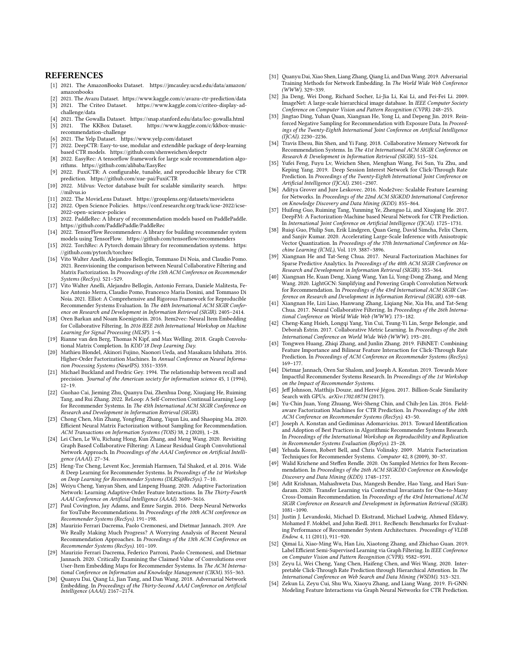### **REFERENCES**

- <span id="page-9-11"></span>[1] 2021. The AmazonBooks Dataset. [https://jmcauley.ucsd.edu/data/amazon/](https://jmcauley.ucsd.edu/data/amazon/amazonbooks) [amazonbooks](https://jmcauley.ucsd.edu/data/amazon/amazonbooks)
- <span id="page-9-47"></span><span id="page-9-13"></span>[2] 2021. The Avazu Dataset.<https://www.kaggle.com/c/avazu-ctr-prediction/data> [3] 2021. The Criteo Dataset. [https://www.kaggle.com/c/criteo-display-ad-](https://www.kaggle.com/c/criteo-display-ad-challenge/data)
- [challenge/data](https://www.kaggle.com/c/criteo-display-ad-challenge/data)
- <span id="page-9-48"></span><span id="page-9-12"></span>[4] 2021. The Gowalla Dataset.<https://snap.stanford.edu/data/loc-gowalla.html> https://www.kaggle.com/c/kkbox-music[recommendation-challenge](https://www.kaggle.com/c/kkbox-music-recommendation-challenge)
- <span id="page-9-10"></span>[6] 2021. The Yelp Dataset.<https://www.yelp.com/dataset>
- <span id="page-9-14"></span>[7] 2022. DeepCTR: Easy-to-use, modular and extendible package of deep-learning based CTR models.<https://github.com/shenweichen/deepctr>
- <span id="page-9-19"></span>[8] 2022. EasyRec: A tensorflow framework for large scale recommendation algorithms.<https://github.com/alibaba/EasyRec>
- <span id="page-9-15"></span>[9] 2022. FuxiCTR: A configurable, tunable, and reproducible library for CTR prediction.<https://github.com/xue-pai/FuxiCTR>
- <span id="page-9-29"></span>[10] 2022. Milvus: Vector database built for scalable similarity search. [https:](https://milvus.io) [//milvus.io](https://milvus.io)
- <span id="page-9-9"></span>[11] 2022. The MovieLens Dataset.<https://grouplens.org/datasets/movielens>
- <span id="page-9-51"></span>[12] 2022. Open Science Policies. [https://conf.researchr.org/track/icse-2022/icse-](https://conf.researchr.org/track/icse-2022/icse-2022-open-science-policies)[2022-open-science-policies](https://conf.researchr.org/track/icse-2022/icse-2022-open-science-policies)
- <span id="page-9-18"></span>[13] 2022. PaddleRec: A library of recommendation models based on PaddlePaddle. <https://github.com/PaddlePaddle/PaddleRec>
- <span id="page-9-16"></span>[14] 2022. TensorFlow Recommenders: A library for building recommender system models using TensorFlow.<https://github.com/tensorflow/recommenders>
- <span id="page-9-17"></span>[15] 2022. TorchRec: A Pytorch domain library for recommendation systems. [https:](https://github.com/pytorch/torchrec) [//github.com/pytorch/torchrec](https://github.com/pytorch/torchrec)
- <span id="page-9-37"></span>[16] Vito Walter Anelli, Alejandro Bellogín, Tommaso Di Noia, and Claudio Pomo. 2021. Reenvisioning the comparison between Neural Collaborative Filtering and Matrix Factorization. In Proceedings of the 15th ACM Conference on Recommender Systems (RecSys). 521–529.
- <span id="page-9-20"></span>[17] Vito Walter Anelli, Alejandro Bellogín, Antonio Ferrara, Daniele Malitesta, Felice Antonio Merra, Claudio Pomo, Francesco Maria Donini, and Tommaso Di Noia. 2021. Elliot: A Comprehensive and Rigorous Framework for Reproducible Recommender Systems Evaluation. In The 44th International ACM SIGIR Conference on Research and Development in Information Retrieval (SIGIR). 2405–2414.
- <span id="page-9-44"></span>[18] Oren Barkan and Noam Koenigstein. 2016. Item2vec: Neural Item Embedding for Collaborative Filtering. In 2016 IEEE 26th International Workshop on Machine Learning for Signal Processing (MLSP). 1–6.
- <span id="page-9-45"></span>[19] Rianne van den Berg, Thomas N Kipf, and Max Welling. 2018. Graph Convolutional Matrix Completion. In KDD'18 Deep Learning Day.
- <span id="page-9-53"></span>[20] Mathieu Blondel, Akinori Fujino, Naonori Ueda, and Masakazu Ishihata. 2016. Higher-Order Factorization Machines. In Annual Conference on Neural Information Processing Systems (NeurIPS). 3351–3359.
- <span id="page-9-39"></span>[21] Michael Buckland and Fredric Gey. 1994. The relationship between recall and precision. Journal of the American society for information science 45, 1 (1994),  $12 - 19$
- <span id="page-9-36"></span>[22] Guohao Cai, Jieming Zhu, Quanyu Dai, Zhenhua Dong, Xiuqiang He, Ruiming Tang, and Rui Zhang. 2022. ReLoop: A Self-Correction Continual Learning Loop for Recommender Systems. In The 45th International ACM SIGIR Conference on Research and Development in Information Retrieval (SIGIR).
- <span id="page-9-24"></span>[23] Chong Chen, Min Zhang, Yongfeng Zhang, Yiqun Liu, and Shaoping Ma. 2020. Efficient Neural Matrix Factorization without Sampling for Recommendation. ACM Transactions on Information Systems (TOIS) 38, 2 (2020), 1–28.
- <span id="page-9-46"></span>[24] Lei Chen, Le Wu, Richang Hong, Kun Zhang, and Meng Wang. 2020. Revisiting Graph Based Collaborative Filtering: A Linear Residual Graph Convolutional Network Approach. In Proceedings of the AAAI Conference on Artificial Intelligence (AAAI). 27–34.
- <span id="page-9-31"></span>[25] Heng-Tze Cheng, Levent Koc, Jeremiah Harmsen, Tal Shaked, et al. 2016. Wide & Deep Learning for Recommender Systems. In Proceedings of the 1st Workshop on Deep Learning for Recommender Systems (DLRS@RecSys). 7–10.
- <span id="page-9-38"></span>[26] Weiyu Cheng, Yanyan Shen, and Linpeng Huang. 2020. Adaptive Factorization Network: Learning Adaptive-Order Feature Interactions. In The Thirty-Fourth AAAI Conference on Artificial Intelligence (AAAI). 3609–3616.
- <span id="page-9-0"></span>[27] Paul Covington, Jay Adams, and Emre Sargin. 2016. Deep Neural Networks for YouTube Recommendations. In Proceedings of the 10th ACM conference on Recommender Systems (RecSys). 191–198.
- <span id="page-9-4"></span>[28] Maurizio Ferrari Dacrema, Paolo Cremonesi, and Dietmar Jannach. 2019. Are We Really Making Much Progress? A Worrying Analysis of Recent Neural Recommendation Approaches. In Proceedings of the 13th ACM Conference on Recommender Systems (RecSys). 101–109.
- <span id="page-9-7"></span>[29] Maurizio Ferrari Dacrema, Federico Parroni, Paolo Cremonesi, and Dietmar Jannach. 2020. Critically Examining the Claimed Value of Convolutions over User-Item Embedding Maps for Recommender Systems. In The ACM International Conference on Information and Knowledge Management (CIKM). 355–363.
- <span id="page-9-26"></span>[30] Quanyu Dai, Qiang Li, Jian Tang, and Dan Wang. 2018. Adversarial Network Embedding. In Proceedings of the Thirty-Second AAAI Conference on Artificial Intelligence (AAAI). 2167–2174.
- <span id="page-9-27"></span>[31] Quanyu Dai, Xiao Shen, Liang Zhang, Qiang Li, and Dan Wang. 2019. Adversarial Training Methods for Network Embedding. In The World Wide Web Conference (WWW). 329–339.
- <span id="page-9-8"></span>[32] Jia Deng, Wei Dong, Richard Socher, Li-Jia Li, Kai Li, and Fei-Fei Li. 2009. ImageNet: A large-scale hierarchical image database. In IEEE Computer Society Conference on Computer Vision and Pattern Recognition (CVPR). 248–255.
- <span id="page-9-25"></span>[33] Jingtao Ding, Yuhan Quan, Xiangnan He, Yong Li, and Depeng Jin. 2019. Reinforced Negative Sampling for Recommendation with Exposure Data. In Proceedings of the Twenty-Eighth International Joint Conference on Artificial Intelligence (IJCAI). 2230–2236.
- <span id="page-9-43"></span>[34] Travis Ebesu, Bin Shen, and Yi Fang. 2018. Collaborative Memory Network for Recommendation Systems. In The 41st International ACM SIGIR Conference on Research & Development in Information Retrieval (SIGIR). 515–524.
- <span id="page-9-49"></span>[35] Yufei Feng, Fuyu Lv, Weichen Shen, Menghan Wang, Fei Sun, Yu Zhu, and Keping Yang. 2019. Deep Session Interest Network for Click-Through Rate Prediction. In Proceedings of the Twenty-Eighth International Joint Conference on Artificial Intelligence (IJCAI). 2301-2307.
- <span id="page-9-28"></span>[36] Aditya Grover and Jure Leskovec. 2016. Node2vec: Scalable Feature Learning for Networks. In Proceedings of the 22nd ACM SIGKDD International Conference on Knowledge Discovery and Data Mining (KDD). 855–864.
- <span id="page-9-32"></span>[37] Huifeng Guo, Ruiming Tang, Yunming Ye, Zhenguo Li, and Xiuqiang He. 2017. DeepFM: A Factorization-Machine based Neural Network for CTR Prediction. In International Joint Conference on Artificial Intelligence (IJCAI). 1725–1731.
- <span id="page-9-30"></span>[38] Ruiqi Guo, Philip Sun, Erik Lindgren, Quan Geng, David Simcha, Felix Chern, and Sanjiv Kumar. 2020. Accelerating Large-Scale Inference with Anisotropic Vector Quantization. In Proceedings of the 37th International Conference on Machine Learning (ICML), Vol. 119. 3887–3896.
- <span id="page-9-33"></span>[39] Xiangnan He and Tat-Seng Chua. 2017. Neural Factorization Machines for Sparse Predictive Analytics. In Proceedings of the 40th ACM SIGIR Conference on Research and Development in Information Retrieval (SIGIR). 355–364.
- <span id="page-9-1"></span>[40] Xiangnan He, Kuan Deng, Xiang Wang, Yan Li, Yong-Dong Zhang, and Meng Wang. 2020. LightGCN: Simplifying and Powering Graph Convolution Network for Recommendation. In Proceedings of the 43rd International ACM SIGIR Conference on Research and Development in Information Retrieval (SIGIR). 639–648.
- <span id="page-9-41"></span>[41] Xiangnan He, Lizi Liao, Hanwang Zhang, Liqiang Nie, Xia Hu, and Tat-Seng Chua. 2017. Neural Collaborative Filtering. In Proceedings of the 26th International Conference on World Wide Web (WWW). 173–182.
- <span id="page-9-42"></span>[42] Cheng-Kang Hsieh, Longqi Yang, Yin Cui, Tsung-Yi Lin, Serge Belongie, and Deborah Estrin. 2017. Collaborative Metric Learning. In Proceedings of the 26th International Conference on World Wide Web (WWW). 193–201.
- <span id="page-9-34"></span>[43] Tongwen Huang, Zhiqi Zhang, and Junlin Zhang. 2019. FiBiNET: Combining Feature Importance and Bilinear Feature Interaction for Click-Through Rate Prediction. In Proceedings of ACM Conference on Recommender Systems (RecSys). 169–177.
- <span id="page-9-6"></span>[44] Dietmar Jannach, Oren Sar Shalom, and Joseph A. Konstan. 2019. Towards More Impactful Recommender Systems Research. In Proceedings of the 1st Workshop on the Impact of Recommender Systems.
- <span id="page-9-22"></span>[45] Jeff Johnson, Matthijs Douze, and Hervé Jégou. 2017. Billion-Scale Similarity Search with GPUs. arXiv:1702.08734 (2017).
- <span id="page-9-52"></span>[46] Yu-Chin Juan, Yong Zhuang, Wei-Sheng Chin, and Chih-Jen Lin. 2016. Fieldaware Factorization Machines for CTR Prediction. In Proceedings of the 10th ACM Conference on Recommender Systems (RecSys). 43–50.
- <span id="page-9-5"></span>[47] Joseph A. Konstan and Gediminas Adomavicius. 2013. Toward Identification and Adoption of Best Practices in Algorithmic Recommender Systems Research. In Proceedings of the International Workshop on Reproducibility and Replication in Recommender Systems Evaluation (RepSys). 23–28.
- <span id="page-9-23"></span>[48] Yehuda Koren, Robert Bell, and Chris Volinsky. 2009. Matrix Factorization Techniques for Recommender Systems. Computer 42, 8 (2009), 30–37.
- <span id="page-9-40"></span>[49] Walid Krichene and Steffen Rendle. 2020. On Sampled Metrics for Item Recommendation. In Proceedings of the 26th ACM SIGKDD Conference on Knowledge Discovery and Data Mining (KDD). 1748–1757.
- <span id="page-9-35"></span>[50] Adit Krishnan, Mahashweta Das, Mangesh Bendre, Hao Yang, and Hari Sundaram. 2020. Transfer Learning via Contextual Invariants for One-to-Many Cross-Domain Recommendation. In Proceedings of the 43rd International ACM SIGIR Conference on Research and Development in Information Retrieval (SIGIR). 1081–1090.
- <span id="page-9-21"></span>[51] Justin J. Levandoski, Michael D. Ekstrand, Michael Ludwig, Ahmed Eldawy, Mohamed F. Mokbel, and John Riedl. 2011. RecBench: Benchmarks for Evaluating Performance of Recommender System Architectures. Proceedings of VLDB Endow. 4, 11 (2011), 911–920.
- <span id="page-9-2"></span>[52] Qimai Li, Xiao-Ming Wu, Han Liu, Xiaotong Zhang, and Zhichao Guan. 2019. Label Efficient Semi-Supervised Learning via Graph Filtering. In IEEE Conference on Computer Vision and Pattern Recognition (CVPR). 9582–9591.
- <span id="page-9-50"></span>[53] Zeyu Li, Wei Cheng, Yang Chen, Haifeng Chen, and Wei Wang. 2020. Interpretable Click-Through Rate Prediction through Hierarchical Attention. In The International Conference on Web Search and Data Mining (WSDM). 313–321.
- <span id="page-9-3"></span>[54] Zekun Li, Zeyu Cui, Shu Wu, Xiaoyu Zhang, and Liang Wang. 2019. Fi-GNN: Modeling Feature Interactions via Graph Neural Networks for CTR Prediction.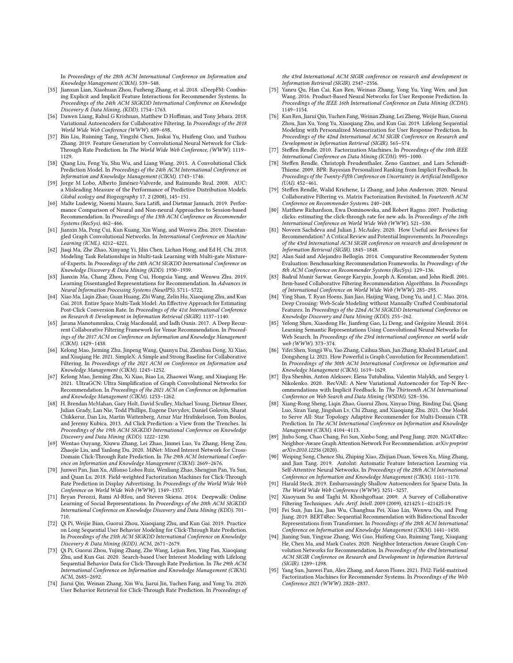In Proceedings of the 28th ACM International Conference on Information and Knowledge Management (CIKM). 539–548.

- <span id="page-10-36"></span>[55] Jianxun Lian, Xiaohuan Zhou, Fuzheng Zhang, et al. 2018. xDeepFM: Combining Explicit and Implicit Feature Interactions for Recommender Systems. In Proceedings of the 24th ACM SIGKDD International Conference on Knowledge Discovery & Data Mining, (KDD). 1754–1763.
- <span id="page-10-0"></span>[56] Dawen Liang, Rahul G Krishnan, Matthew D Hoffman, and Tony Jebara. 2018. Variational Autoencoders for Collaborative Filtering. In Proceedings of the 2018 World Wide Web Conference (WWW). 689–698.
- <span id="page-10-4"></span>[57] Bin Liu, Ruiming Tang, Yingzhi Chen, Jinkai Yu, Huifeng Guo, and Yuzhou Zhang. 2019. Feature Generation by Convolutional Neural Network for Click-Through Rate Prediction. In The World Wide Web Conference, (WWW). 1119– 1129.
- <span id="page-10-22"></span>[58] Qiang Liu, Feng Yu, Shu Wu, and Liang Wang. 2015. A Convolutional Click Prediction Model. In Proceedings of the 24th ACM International Conference on Information and Knowledge Management (CIKM). 1743–1746.
- <span id="page-10-35"></span>[59] Jorge M Lobo, Alberto Jiménez-Valverde, and Raimundo Real. 2008. AUC: a Misleading Measure of the Performance of Predictive Distribution Models. Global ecology and Biogeography 17, 2 (2008), 145–151.
- <span id="page-10-9"></span>[60] Malte Ludewig, Noemi Mauro, Sara Latifi, and Dietmar Jannach. 2019. Performance Comparison of Neural and Non-neural Approaches to Session-based Recommendation. In Proceedings of the 13th ACM Conference on Recommender Systems (RecSys). 462–466.
- <span id="page-10-32"></span>[61] Jianxin Ma, Peng Cui, Kun Kuang, Xin Wang, and Wenwu Zhu. 2019. Disentangled Graph Convolutional Networks. In International Conference on Machine Learning (ICML). 4212–4221.
- <span id="page-10-27"></span>[62] Jiaqi Ma, Zhe Zhao, Xinyang Yi, Jilin Chen, Lichan Hong, and Ed H. Chi. 2018. Modeling Task Relationships in Multi-task Learning with Multi-gate Mixtureof-Experts. In Proceedings of the 24th ACM SIGKDD International Conference on Knowledge Discovery & Data Mining (KDD). 1930–1939.
- <span id="page-10-1"></span>[63] Jianxin Ma, Chang Zhou, Peng Cui, Hongxia Yang, and Wenwu Zhu. 2019. Learning Disentangled Representations for Recommendation. In Advances in Neural Information Processing Systems (NeurIPS). 5711–5722.
- <span id="page-10-28"></span>[64] Xiao Ma, Liqin Zhao, Guan Huang, Zhi Wang, Zelin Hu, Xiaoqiang Zhu, and Kun Gai. 2018. Entire Space Multi-Task Model: An Effective Approach for Estimating Post-Click Conversion Rate. In Proceedings of the 41st International Conference on Research & Development in Information Retrieval (SIGIR). 1137–1140.
- <span id="page-10-15"></span>[65] Jarana Manotumruksa, Craig Macdonald, and Iadh Ounis. 2017. A Deep Recurrent Collaborative Filtering Framework for Venue Recommendation. In Proceedings of the 2017 ACM on Conference on Information and Knowledge Management (CIKM). 1429–1438.
- <span id="page-10-16"></span>[66] Kelong Mao, Jieming Zhu, Jinpeng Wang, Quanyu Dai, Zhenhua Dong, Xi Xiao, and Xiuqiang He. 2021. SimpleX: A Simple and Strong Baseline for Collaborative Filtering. In Proceedings of the 2021 ACM on Conference on Information and Knowledge Management (CIKM). 1243–1252.
- <span id="page-10-17"></span>[67] Kelong Mao, Jieming Zhu, Xi Xiao, Biao Lu, Zhaowei Wang, and Xiuqiang He. 2021. UltraGCN: Ultra Simplification of Graph Convolutional Networks for Recommendation. In Proceedings of the 2021 ACM on Conference on Information and Knowledge Management (CIKM). 1253–1262.
- <span id="page-10-18"></span>[68] H. Brendan McMahan, Gary Holt, David Sculley, Michael Young, Dietmar Ebner, Julian Grady, Lan Nie, Todd Phillips, Eugene Davydov, Daniel Golovin, Sharat Chikkerur, Dan Liu, Martin Wattenberg, Arnar Mar Hrafnkelsson, Tom Boulos, and Jeremy Kubica. 2013. Ad Click Prediction: a View from the Trenches. In Proceedings of the 19th ACM SIGKDD International Conference on Knowledge Discovery and Data Mining (KDD). 1222–1230.
- <span id="page-10-37"></span>[69] Wentao Ouyang, Xiuwu Zhang, Lei Zhao, Jinmei Luo, Yu Zhang, Heng Zou, Zhaojie Liu, and Yanlong Du. 2020. MiNet: Mixed Interest Network for Cross-Domain Click-Through Rate Prediction. In The 29th ACM International Conference on Information and Knowledge Management (CIKM). 2669–2676.
- <span id="page-10-39"></span>[70] Junwei Pan, Jian Xu, Alfonso Lobos Ruiz, Wenliang Zhao, Shengjun Pan, Yu Sun, and Quan Lu. 2018. Field-weighted Factorization Machines for Click-Through Rate Prediction in Display Advertising. In Proceedings of the World Wide Web Conference on World Wide Web (WWW). 1349–1357.
- <span id="page-10-13"></span>[71] Bryan Perozzi, Rami Al-Rfou, and Steven Skiena. 2014. Deepwalk: Online Learning of Social Representations. In Proceedings of the 20th ACM SIGKDD International Conference on Knowledge Discovery and Data Mining (KDD). 701– 710.
- <span id="page-10-23"></span>[72] Qi Pi, Weijie Bian, Guorui Zhou, Xiaoqiang Zhu, and Kun Gai. 2019. Practice on Long Sequential User Behavior Modeling for Click-Through Rate Prediction. In Proceedings of the 25th ACM SIGKDD International Conference on Knowledge Discovery & Data Mining (KDD). ACM, 2671–2679.
- <span id="page-10-25"></span>[73] Qi Pi, Guorui Zhou, Yujing Zhang, Zhe Wang, Lejian Ren, Ying Fan, Xiaoqiang Zhu, and Kun Gai. 2020. Search-based User Interest Modeling with Lifelong Sequential Behavior Data for Click-Through Rate Prediction. In The 29th ACM International Conference on Information and Knowledge Management (CIKM). ACM, 2685–2692.
- <span id="page-10-26"></span>[74] Jiarui Qin, Weinan Zhang, Xin Wu, Jiarui Jin, Yuchen Fang, and Yong Yu. 2020. User Behavior Retrieval for Click-Through Rate Prediction. In Proceedings of

the 43rd International ACM SIGIR conference on research and development in Information Retrieval (SIGIR). 2347–2356.

- <span id="page-10-21"></span>[75] Yanru Qu, Han Cai, Kan Ren, Weinan Zhang, Yong Yu, Ying Wen, and Jun Wang. 2016. Product-Based Neural Networks for User Response Prediction. In Proceedings of the IEEE 16th International Conference on Data Mining (ICDM). 1149–1154.
- <span id="page-10-24"></span>[76] Kan Ren, Jiarui Qin, Yuchen Fang, Weinan Zhang, Lei Zheng, Weijie Bian, Guorui Zhou, Jian Xu, Yong Yu, Xiaoqiang Zhu, and Kun Gai. 2019. Lifelong Sequential Modeling with Personalized Memorization for User Response Prediction. In Proceedings of the 42nd International ACM SIGIR Conference on Research and Development in Information Retrieval (SIGIR). 565–574.
- <span id="page-10-20"></span>[77] Steffen Rendle. 2010. Factorization Machines. In Proceedings of the 10th IEEE International Conference on Data Mining (ICDM). 995–1000.
- <span id="page-10-30"></span>[78] Steffen Rendle, Christoph Freudenthaler, Zeno Gantner, and Lars Schmidt-Thieme. 2009. BPR: Bayesian Personalized Ranking from Implicit Feedback. In Proceedings of the Twenty-Fifth Conference on Uncertainty in Artificial Intelligence (UAI). 452–461.
- <span id="page-10-7"></span>[79] Steffen Rendle, Walid Krichene, Li Zhang, and John Anderson. 2020. Neural Collaborative Filtering vs. Matrix Factorization Revisited. In Fourteenth ACM Conference on Recommender Systems. 240–248.
- <span id="page-10-19"></span>[80] Matthew Richardson, Ewa Dominowska, and Robert Ragno. 2007. Predicting clicks: estimating the click-through rate for new ads. In Proceedings of the 16th International Conference on World Wide Web (WWW). 521–530.
- <span id="page-10-8"></span>[81] Noveen Sachdeva and Julian J. McAuley. 2020. How Useful are Reviews for Recommendation? A Critical Review and Potential Improvements. In Proceedings of the 43rd International ACM SIGIR conference on research and development in Information Retrieval (SIGIR). 1845–1848.
- <span id="page-10-10"></span>[82] Alan Said and Alejandro Bellogín. 2014. Comparative Recommender System Evaluation: Benchmarking Recommendation Frameworks. In Proceedings of the 8th ACM Conference on Recommender Systems (RecSys). 129–136.
- <span id="page-10-14"></span>[83] Badrul Munir Sarwar, George Karypis, Joseph A. Konstan, and John Riedl. 2001. Item-based Collaborative Filtering Recommendation Algorithms. In Proceedings of International Conference on World Wide Web (WWW). 285–295.
- <span id="page-10-38"></span>[84] Ying Shan, T. Ryan Hoens, Jian Jiao, Haijing Wang, Dong Yu, and J. C. Mao. 2016. Deep Crossing: Web-Scale Modeling without Manually Crafted Combinatorial Features. In Proceedings of the 22nd ACM SIGKDD International Conference on Knowledge Discovery and Data Mining (KDD). 255–262.
- <span id="page-10-12"></span>[85] Yelong Shen, Xiaodong He, Jianfeng Gao, Li Deng, and Grégoire Mesnil. 2014. Learning Semantic Representations Using Convolutional Neural Networks for Web Search. In Proceedings of the 23rd international conference on world wide web (WWW). 373–374.
- <span id="page-10-34"></span>[86] Yifei Shen, Yongji Wu, Yao Zhang, Caihua Shan, Jun Zhang, Khaled B Letaief, and Dongsheng Li. 2021. How Powerful is Graph Convolution for Recommendation?. In Proceedings of the 30th ACM International Conference on Information and Knowledge Management (CIKM). 1619–1629.
- <span id="page-10-2"></span>[87] Ilya Shenbin, Anton Alekseev, Elena Tutubalina, Valentin Malykh, and Sergey I. Nikolenko. 2020. RecVAE: A New Variational Autoencoder for Top-N Recommendations with Implicit Feedback. In The Thirteenth ACM International Conference on Web Search and Data Mining (WSDM). 528–536.
- <span id="page-10-29"></span>[88] Xiang-Rong Sheng, Liqin Zhao, Guorui Zhou, Xinyao Ding, Binding Dai, Qiang Luo, Siran Yang, Jingshan Lv, Chi Zhang, and Xiaoqiang Zhu. 2021. One Model to Serve All: Star Topology Adaptive Recommender for Multi-Domain CTR Prediction. In The ACM International Conference on Information and Knowledge Management (CIKM). 4104–4113.
- <span id="page-10-33"></span>[89] Jinbo Song, Chao Chang, Fei Sun, Xinbo Song, and Peng Jiang. 2020. NGAT4Rec: Neighbor-Aware Graph Attention Network For Recommendation. arXiv preprint arXiv:2010.12256 (2020).
- <span id="page-10-5"></span>[90] Weiping Song, Chence Shi, Zhiping Xiao, Zhijian Duan, Yewen Xu, Ming Zhang, and Jian Tang. 2019. AutoInt: Automatic Feature Interaction Learning via Self-Attentive Neural Networks. In Proceedings of the 28th ACM International Conference on Information and Knowledge Management (CIKM). 1161–1170.
- <span id="page-10-31"></span>[91] Harald Steck. 2019. Embarrassingly Shallow Autoencoders for Sparse Data. In The World Wide Web Conference (WWW). 3251–3257.
- <span id="page-10-11"></span>[92] Xiaoyuan Su and Taghi M. Khoshgoftaar. 2009. A Survey of Collaborative Filtering Techniques. Adv. Artif. Intell. 2009 (2009), 421425:1–421425:19.
- <span id="page-10-6"></span>[93] Fei Sun, Jun Liu, Jian Wu, Changhua Pei, Xiao Lin, Wenwu Ou, and Peng Jiang. 2019. BERT4Rec: Sequential Recommendation with Bidirectional Encoder Representations from Transformer. In Proceedings of the 28th ACM International Conference on Information and Knowledge Management (CIKM). 1441–1450.
- <span id="page-10-3"></span>[94] Jianing Sun, Yingxue Zhang, Wei Guo, Huifeng Guo, Ruiming Tang, Xiuqiang He, Chen Ma, and Mark Coates. 2020. Neighbor Interaction Aware Graph Convolution Networks for Recommendation. In Proceedings of the 43rd International ACM SIGIR Conference on Research and Development in Information Retrieval (SIGIR). 1289–1298.
- <span id="page-10-40"></span>[95] Yang Sun, Junwei Pan, Alex Zhang, and Aaron Flores. 2021. FM2: Field-matrixed Factorization Machines for Recommender Systems. In Proceedings of the Web Conference 2021 (WWW). 2828–2837.